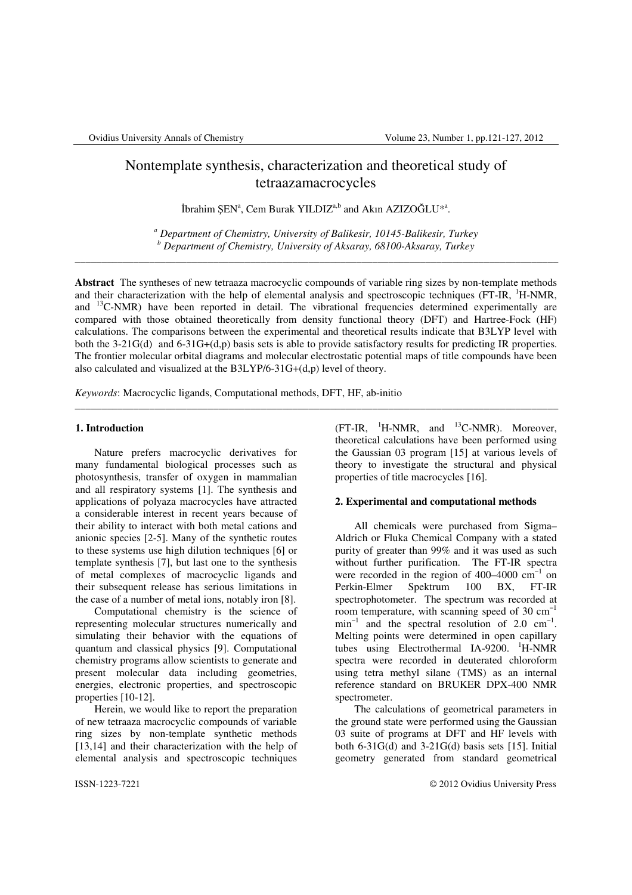# Nontemplate synthesis, characterization and theoretical study of tetraazamacrocycles

İbrahim ŞEN<sup>a</sup>, Cem Burak YILDIZ<sup>a,b</sup> and Akın AZIZOĞLU<sup>\*a</sup>.

*a Department of Chemistry, University of Balikesir, 10145-Balikesir, Turkey b Department of Chemistry, University of Aksaray, 68100-Aksaray, Turkey*  \_\_\_\_\_\_\_\_\_\_\_\_\_\_\_\_\_\_\_\_\_\_\_\_\_\_\_\_\_\_\_\_\_\_\_\_\_\_\_\_\_\_\_\_\_\_\_\_\_\_\_\_\_\_\_\_\_\_\_\_\_\_\_\_\_\_\_\_\_\_\_\_\_\_\_\_\_\_\_\_\_\_\_\_\_\_\_\_\_\_\_

**Abstract** The syntheses of new tetraaza macrocyclic compounds of variable ring sizes by non-template methods and their characterization with the help of elemental analysis and spectroscopic techniques (FT-IR, <sup>1</sup>H-NMR, and <sup>13</sup>C-NMR) have been reported in detail. The vibrational frequencies determined experimentally are compared with those obtained theoretically from density functional theory (DFT) and Hartree-Fock (HF) calculations. The comparisons between the experimental and theoretical results indicate that B3LYP level with both the 3-21G(d) and 6-31G+(d,p) basis sets is able to provide satisfactory results for predicting IR properties. The frontier molecular orbital diagrams and molecular electrostatic potential maps of title compounds have been also calculated and visualized at the B3LYP/6-31G+(d,p) level of theory.

\_\_\_\_\_\_\_\_\_\_\_\_\_\_\_\_\_\_\_\_\_\_\_\_\_\_\_\_\_\_\_\_\_\_\_\_\_\_\_\_\_\_\_\_\_\_\_\_\_\_\_\_\_\_\_\_\_\_\_\_\_\_\_\_\_\_\_\_\_\_\_\_\_\_\_\_\_\_\_\_\_\_\_\_\_\_\_\_\_\_\_

*Keywords*: Macrocyclic ligands, Computational methods, DFT, HF, ab-initio

## **1. Introduction**

Nature prefers macrocyclic derivatives for many fundamental biological processes such as photosynthesis, transfer of oxygen in mammalian and all respiratory systems [1]. The synthesis and applications of polyaza macrocycles have attracted a considerable interest in recent years because of their ability to interact with both metal cations and anionic species [2-5]. Many of the synthetic routes to these systems use high dilution techniques [6] or template synthesis [7], but last one to the synthesis of metal complexes of macrocyclic ligands and their subsequent release has serious limitations in the case of a number of metal ions, notably iron [8].

Computational chemistry is the science of representing molecular structures numerically and simulating their behavior with the equations of quantum and classical physics [9]. Computational chemistry programs allow scientists to generate and present molecular data including geometries, energies, electronic properties, and spectroscopic properties [10-12].

Herein, we would like to report the preparation of new tetraaza macrocyclic compounds of variable ring sizes by non-template synthetic methods [13,14] and their characterization with the help of elemental analysis and spectroscopic techniques

 $(FT-IR, 1H-NMR, and 13C-NMR)$ . Moreover, theoretical calculations have been performed using the Gaussian 03 program [15] at various levels of theory to investigate the structural and physical properties of title macrocycles [16].

# **2. Experimental and computational methods**

All chemicals were purchased from Sigma– Aldrich or Fluka Chemical Company with a stated purity of greater than 99% and it was used as such without further purification. The FT-IR spectra were recorded in the region of 400–4000  $cm^{-1}$  on<br>Perkin-Elmer Spektrum 100 BX, FT-IR Perkin-Elmer Spektrum 100 BX, FT-IR spectrophotometer. The spectrum was recorded at room temperature, with scanning speed of 30  $cm^{-1}$  $min^{-1}$  and the spectral resolution of 2.0 cm<sup>-1</sup>. Melting points were determined in open capillary tubes using Electrothermal IA-9200.  $H-NMR$ spectra were recorded in deuterated chloroform using tetra methyl silane (TMS) as an internal reference standard on BRUKER DPX-400 NMR spectrometer.

The calculations of geometrical parameters in the ground state were performed using the Gaussian 03 suite of programs at DFT and HF levels with both  $6-31G(d)$  and  $3-21G(d)$  basis sets [15]. Initial geometry generated from standard geometrical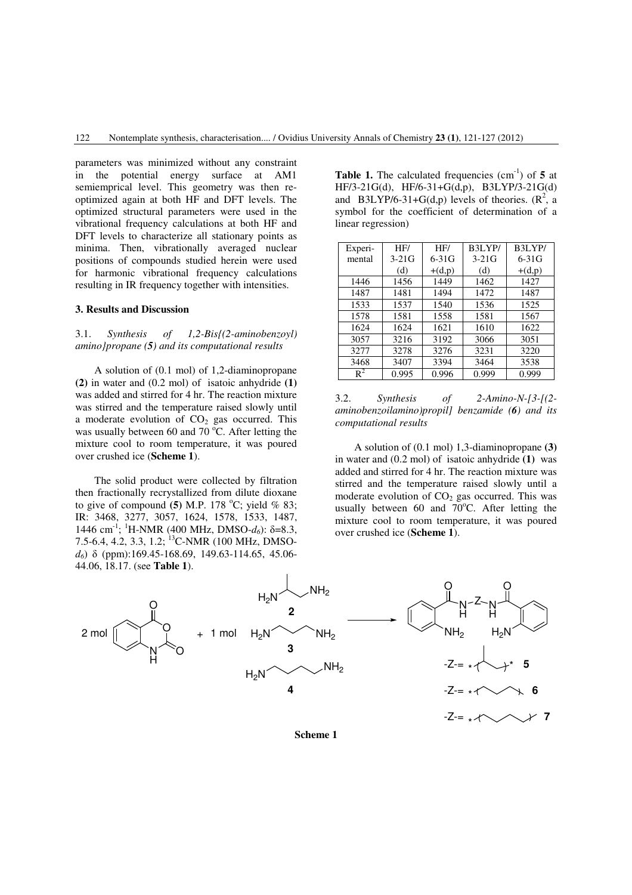parameters was minimized without any constraint in the potential energy surface at AM1 semiemprical level. This geometry was then reoptimized again at both HF and DFT levels. The optimized structural parameters were used in the vibrational frequency calculations at both HF and DFT levels to characterize all stationary points as minima. Then, vibrationally averaged nuclear positions of compounds studied herein were used for harmonic vibrational frequency calculations resulting in IR frequency together with intensities.

# **3. Results and Discussion**

# 3.1. *Synthesis of 1,2-Bis{(2-aminobenzoyl) amino}propane (5) and its computational results*

A solution of (0.1 mol) of 1,2-diaminopropane **(2)** in water and (0.2 mol) of isatoic anhydride **(1)** was added and stirred for 4 hr. The reaction mixture was stirred and the temperature raised slowly until a moderate evolution of  $CO<sub>2</sub>$  gas occurred. This was usually between 60 and 70  $^{\circ}$ C. After letting the mixture cool to room temperature, it was poured over crushed ice (**Scheme 1**).

The solid product were collected by filtration then fractionally recrystallized from dilute dioxane to give of compound  $(5)$  M.P. 178 <sup>o</sup>C; yield % 83; IR: 3468, 3277, 3057, 1624, 1578, 1533, 1487, 1446 cm<sup>-1</sup>; <sup>1</sup>H-NMR (400 MHz, DMSO- $d_6$ ): δ=8.3, 7.5-6.4, 4.2, 3.3, 1.2; <sup>13</sup>C-NMR (100 MHz, DMSO*d6*) δ (ppm):169.45-168.69, 149.63-114.65, 45.06- 44.06, 18.17. (see **Table 1**).

**Table 1.** The calculated frequencies  $(cm<sup>-1</sup>)$  of 5 at HF/3-21G(d), HF/6-31+G(d,p), B3LYP/3-21G(d) and B3LYP/6-31+G(d,p) levels of theories.  $(R^2, a)$ symbol for the coefficient of determination of a linear regression)

| Experi-        | HF/     | HF/      | B3LYP/  | B3LYP/   |
|----------------|---------|----------|---------|----------|
| mental         | $3-21G$ | $6-31G$  | $3-21G$ | $6-31G$  |
|                | (d)     | $+(d,p)$ | (d)     | $+(d,p)$ |
| 1446           | 1456    | 1449     | 1462    | 1427     |
| 1487           | 1481    | 1494     | 1472    | 1487     |
| 1533           | 1537    | 1540     | 1536    | 1525     |
| 1578           | 1581    | 1558     | 1581    | 1567     |
| 1624           | 1624    | 1621     | 1610    | 1622     |
| 3057           | 3216    | 3192     | 3066    | 3051     |
| 3277           | 3278    | 3276     | 3231    | 3220     |
| 3468           | 3407    | 3394     | 3464    | 3538     |
| $\mathbb{R}^2$ | 0.995   | 0.996    | 0.999   | 0.999    |



A solution of (0.1 mol) 1,3-diaminopropane **(3)** in water and (0.2 mol) of isatoic anhydride **(1)** was added and stirred for 4 hr. The reaction mixture was stirred and the temperature raised slowly until a moderate evolution of  $CO<sub>2</sub>$  gas occurred. This was usually between  $60$  and  $70^{\circ}$ C. After letting the mixture cool to room temperature, it was poured over crushed ice (**Scheme 1**).



**Scheme 1**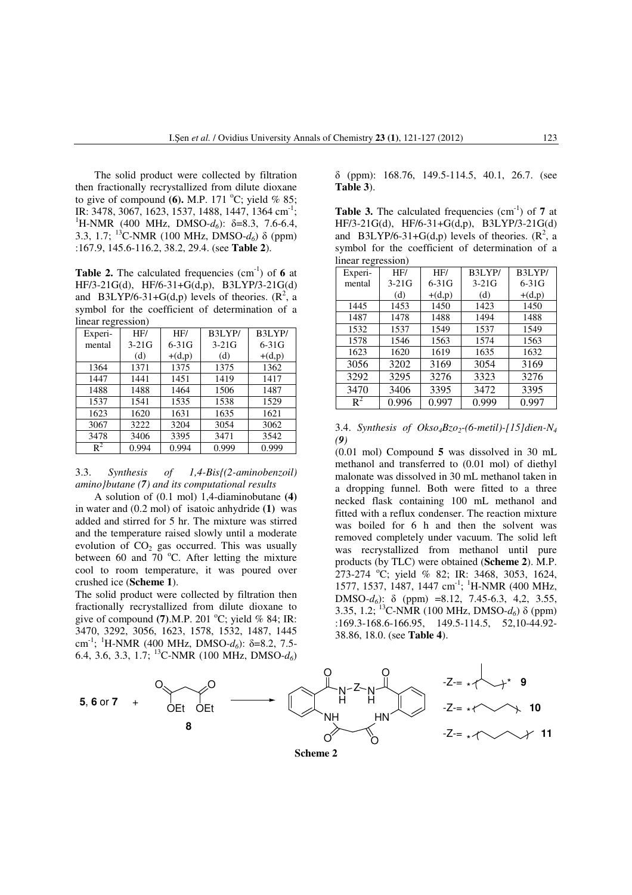The solid product were collected by filtration then fractionally recrystallized from dilute dioxane to give of compound  $(6)$ . M.P. 171 <sup>o</sup>C; yield % 85; IR: 3478, 3067, 1623, 1537, 1488, 1447, 1364 cm<sup>-1</sup>; <sup>1</sup>H-NMR (400 MHz, DMSO- $d_6$ ): δ=8.3, 7.6-6.4, 3.3, 1.7; <sup>13</sup>C-NMR (100 MHz, DMSO-*d6*) δ (ppm) :167.9, 145.6-116.2, 38.2, 29.4. (see **Table 2**).

**Table 2.** The calculated frequencies (cm<sup>-1</sup>) of 6 at HF/3-21G(d), HF/6-31+G(d,p), B3LYP/3-21G(d) and B3LYP/6-31+G(d,p) levels of theories.  $(R^2, a)$ symbol for the coefficient of determination of a linear regression)

| Experi-        | HF/     | HF/      | B3LYP/  | B3LYP/   |
|----------------|---------|----------|---------|----------|
| mental         | $3-21G$ | $6-31G$  | $3-21G$ | $6-31G$  |
|                | (d)     | $+(d,p)$ | (d)     | $+(d,p)$ |
| 1364           | 1371    | 1375     | 1375    | 1362     |
| 1447           | 1441    | 1451     | 1419    | 1417     |
| 1488           | 1488    | 1464     | 1506    | 1487     |
| 1537           | 1541    | 1535     | 1538    | 1529     |
| 1623           | 1620    | 1631     | 1635    | 1621     |
| 3067           | 3222    | 3204     | 3054    | 3062     |
| 3478           | 3406    | 3395     | 3471    | 3542     |
| $\mathsf{R}^2$ | 0.994   | 0.994    | 0.999   | 0.999    |

# 3.3. *Synthesis of 1,4-Bis{(2-aminobenzoil) amino}butane (7) and its computational results*

A solution of (0.1 mol) 1,4-diaminobutane **(4)** in water and (0.2 mol) of isatoic anhydride **(1)** was added and stirred for 5 hr. The mixture was stirred and the temperature raised slowly until a moderate evolution of  $CO<sub>2</sub>$  gas occurred. This was usually between 60 and 70  $^{\circ}$ C. After letting the mixture cool to room temperature, it was poured over crushed ice (**Scheme 1**).

The solid product were collected by filtration then fractionally recrystallized from dilute dioxane to give of compound  $(7)$ .M.P. 201 <sup>o</sup>C; yield % 84; IR: 3470, 3292, 3056, 1623, 1578, 1532, 1487, 1445 cm-1; <sup>1</sup>H-NMR (400 MHz, DMSO-*d6*): δ=8.2, 7.5- 6.4, 3.6, 3.3, 1.7; <sup>13</sup>C-NMR (100 MHz, DMSO-*d6*)

δ (ppm): 168.76, 149.5-114.5, 40.1, 26.7. (see **Table 3**).

**Table 3.** The calculated frequencies (cm<sup>-1</sup>) of 7 at HF/3-21G(d), HF/6-31+G(d,p), B3LYP/3-21G(d) and B3LYP/6-31+G(d,p) levels of theories.  $(R^2, a)$ symbol for the coefficient of determination of a linear regression)

|                | $\circ$ |          |         |           |  |  |
|----------------|---------|----------|---------|-----------|--|--|
| Experi-        | HF/     | HF/      | B3LYP/  | B3LYP/    |  |  |
| mental         | $3-21G$ | $6-31G$  | $3-21G$ | $6 - 31G$ |  |  |
|                | (d)     | $+(d,p)$ | (d)     | $+(d,p)$  |  |  |
| 1445           | 1453    | 1450     | 1423    | 1450      |  |  |
| 1487           | 1478    | 1488     | 1494    | 1488      |  |  |
| 1532           | 1537    | 1549     | 1537    | 1549      |  |  |
| 1578           | 1546    | 1563     | 1574    | 1563      |  |  |
| 1623           | 1620    | 1619     | 1635    | 1632      |  |  |
| 3056           | 3202    | 3169     | 3054    | 3169      |  |  |
| 3292           | 3295    | 3276     | 3323    | 3276      |  |  |
| 3470           | 3406    | 3395     | 3472    | 3395      |  |  |
| $\mathbf{R}^2$ | 0.996   | 0.997    | 0.999   | 0.997     |  |  |

3.4. *Synthesis of Okso4Bzo2-(6-metil)-[15]dien-N<sup>4</sup> (9)* 

(0.01 mol) Compound **5** was dissolved in 30 mL methanol and transferred to (0.01 mol) of diethyl malonate was dissolved in 30 mL methanol taken in a dropping funnel. Both were fitted to a three necked flask containing 100 mL methanol and fitted with a reflux condenser. The reaction mixture was boiled for 6 h and then the solvent was removed completely under vacuum. The solid left was recrystallized from methanol until pure products (by TLC) were obtained (**Scheme 2**). M.P. 273-274 °C; yield % 82; IR: 3468, 3053, 1624, 1577, 1537, 1487, 1447 cm<sup>-1</sup>; <sup>1</sup>H-NMR (400 MHz, DMSO- $d_6$ ):  $\delta$  (ppm) =8.12, 7.45-6.3, 4,2, 3.55, 3.35, 1.2; <sup>13</sup>C-NMR (100 MHz, DMSO-*d6*) δ (ppm) :169.3-168.6-166.95, 149.5-114.5, 52,10-44.92- 38.86, 18.0. (see **Table 4**).

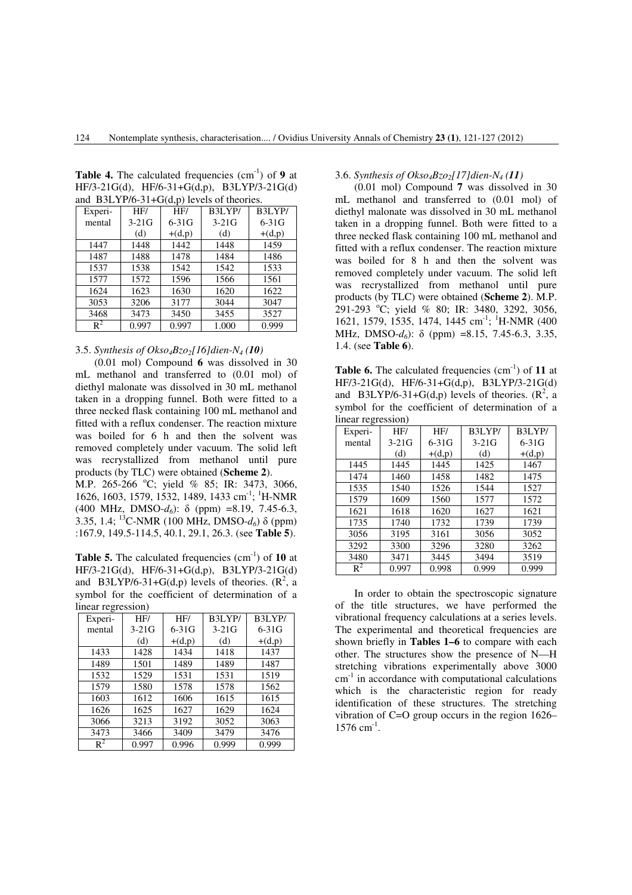| and $D.2L1110-21+O(d,p)$ identified. |         |          |         |          |  |
|--------------------------------------|---------|----------|---------|----------|--|
| Experi-                              | HF/     | HF/      | B3LYP/  | B3LYP/   |  |
| mental                               | $3-21G$ | $6-31G$  | $3-21G$ | $6-31G$  |  |
|                                      | (d)     | $+(d,p)$ | (d)     | $+(d,p)$ |  |
| 1447                                 | 1448    | 1442     | 1448    | 1459     |  |
| 1487                                 | 1488    | 1478     | 1484    | 1486     |  |
| 1537                                 | 1538    | 1542     | 1542    | 1533     |  |
| 1577                                 | 1572    | 1596     | 1566    | 1561     |  |
| 1624                                 | 1623    | 1630     | 1620    | 1622     |  |
| 3053                                 | 3206    | 3177     | 3044    | 3047     |  |
| 3468                                 | 3473    | 3450     | 3455    | 3527     |  |
| $R^2$                                | 0.997   | 0.997    | 1.000   | 0.999    |  |

**Table 4.** The calculated frequencies  $(cm<sup>-1</sup>)$  of 9 at HF/3-21G(d), HF/6-31+G(d,p), B3LYP/3-21G(d) and B3LYP/6-31+ $G(d, p)$  levels of theories.

# 3.5. *Synthesis of Okso4Bzo2[16]dien-N4 (10)*

(0.01 mol) Compound **6** was dissolved in 30 mL methanol and transferred to (0.01 mol) of diethyl malonate was dissolved in 30 mL methanol taken in a dropping funnel. Both were fitted to a three necked flask containing 100 mL methanol and fitted with a reflux condenser. The reaction mixture was boiled for 6 h and then the solvent was removed completely under vacuum. The solid left was recrystallized from methanol until pure products (by TLC) were obtained (**Scheme 2**).

M.P. 265-266 °C; yield % 85; IR: 3473, 3066, 1626, 1603, 1579, 1532, 1489, 1433 cm<sup>-1</sup>; <sup>1</sup>H-NMR (400 MHz, DMSO-*d6*): δ (ppm) =8.19, 7.45-6.3, 3.35, 1.4; <sup>13</sup>C-NMR (100 MHz, DMSO- $d_6$ ) δ (ppm) :167.9, 149.5-114.5, 40.1, 29.1, 26.3. (see **Table 5**).

**Table 5.** The calculated frequencies (cm<sup>-1</sup>) of **10** at HF/3-21G(d), HF/6-31+G(d,p), B3LYP/3-21G(d) and B3LYP/6-31+G(d,p) levels of theories.  $(R^2, a)$ symbol for the coefficient of determination of a linear regression)

| $m1$ ivervous $n1$ |         |          |         |           |  |
|--------------------|---------|----------|---------|-----------|--|
| Experi-            | HF/     | HF/      | B3LYP/  | B3LYP/    |  |
| mental             | $3-21G$ | $6-31G$  | $3-21G$ | $6 - 31G$ |  |
|                    | (d)     | $+(d,p)$ | (d)     | $+(d,p)$  |  |
| 1433               | 1428    | 1434     | 1418    | 1437      |  |
| 1489               | 1501    | 1489     | 1489    | 1487      |  |
| 1532               | 1529    | 1531     | 1531    | 1519      |  |
| 1579               | 1580    | 1578     | 1578    | 1562      |  |
| 1603               | 1612    | 1606     | 1615    | 1615      |  |
| 1626               | 1625    | 1627     | 1629    | 1624      |  |
| 3066               | 3213    | 3192     | 3052    | 3063      |  |
| 3473               | 3466    | 3409     | 3479    | 3476      |  |
| $\mathsf{R}^2$     | 0.997   | 0.996    | 0.999   | 0.999     |  |

# 3.6. *Synthesis of Okso4Bzo2[17]dien-N4 (11)*

(0.01 mol) Compound **7** was dissolved in 30 mL methanol and transferred to (0.01 mol) of diethyl malonate was dissolved in 30 mL methanol taken in a dropping funnel. Both were fitted to a three necked flask containing 100 mL methanol and fitted with a reflux condenser. The reaction mixture was boiled for 8 h and then the solvent was removed completely under vacuum. The solid left was recrystallized from methanol until pure products (by TLC) were obtained (**Scheme 2**). M.P. 291-293 °C; yield % 80; IR: 3480, 3292, 3056, 1621, 1579, 1535, 1474, 1445 cm<sup>-1</sup>; <sup>1</sup>H-NMR (400) MHz, DMSO-*d6*): δ (ppm) =8.15, 7.45-6.3, 3.35, 1.4. (see **Table 6**).

**Table 6.** The calculated frequencies (cm<sup>-1</sup>) of 11 at HF/3-21G(d), HF/6-31+G(d,p), B3LYP/3-21G(d) and B3LYP/6-31+G(d,p) levels of theories.  $(R^2, a)$ symbol for the coefficient of determination of a linear regression)

| $m1$ $m2$ $m3$ |         |          |         |           |  |  |
|----------------|---------|----------|---------|-----------|--|--|
| Experi-        | HF/     | HF/      | B3LYP/  | B3LYP/    |  |  |
| mental         | $3-21G$ | $6-31G$  | $3-21G$ | $6 - 31G$ |  |  |
|                | (d)     | $+(d,p)$ | (d)     | $+(d,p)$  |  |  |
| 1445           | 1445    | 1445     | 1425    | 1467      |  |  |
| 1474           | 1460    | 1458     | 1482    | 1475      |  |  |
| 1535           | 1540    | 1526     | 1544    | 1527      |  |  |
| 1579           | 1609    | 1560     | 1577    | 1572      |  |  |
| 1621           | 1618    | 1620     | 1627    | 1621      |  |  |
| 1735           | 1740    | 1732     | 1739    | 1739      |  |  |
| 3056           | 3195    | 3161     | 3056    | 3052      |  |  |
| 3292           | 3300    | 3296     | 3280    | 3262      |  |  |
| 3480           | 3471    | 3445     | 3494    | 3519      |  |  |
| $\mathsf{R}^2$ | 0.997   | 0.998    | 0.999   | 0.999     |  |  |

In order to obtain the spectroscopic signature of the title structures, we have performed the vibrational frequency calculations at a series levels. The experimental and theoretical frequencies are shown briefly in **Tables 1–6** to compare with each other. The structures show the presence of N—H stretching vibrations experimentally above 3000  $cm<sup>-1</sup>$  in accordance with computational calculations which is the characteristic region for ready identification of these structures. The stretching vibration of C=O group occurs in the region 1626–  $1576$  cm<sup>-1</sup>.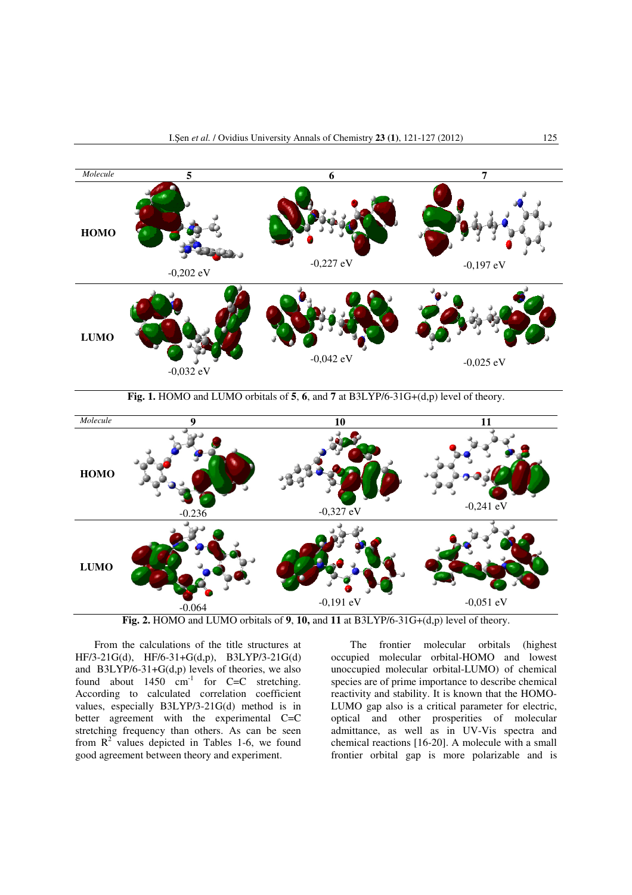

**Fig. 1.** HOMO and LUMO orbitals of **5**, **6**, and **7** at B3LYP/6-31G+(d,p) level of theory.



**Fig. 2.** HOMO and LUMO orbitals of **9**, **10,** and **11** at B3LYP/6-31G+(d,p) level of theory.

From the calculations of the title structures at HF/3-21G(d), HF/6-31+G(d,p), B3LYP/3-21G(d) and B3LYP/6-31+G(d,p) levels of theories, we also found about  $1450 \text{ cm}^{-1}$  for C=C stretching. According to calculated correlation coefficient values, especially B3LYP/3-21G(d) method is in better agreement with the experimental C=C stretching frequency than others. As can be seen from  $R^2$  values depicted in Tables 1-6, we found good agreement between theory and experiment.

The frontier molecular orbitals (highest occupied molecular orbital-HOMO and lowest unoccupied molecular orbital-LUMO) of chemical species are of prime importance to describe chemical reactivity and stability. It is known that the HOMO-LUMO gap also is a critical parameter for electric, optical and other prosperities of molecular admittance, as well as in UV-Vis spectra and chemical reactions [16-20]. A molecule with a small frontier orbital gap is more polarizable and is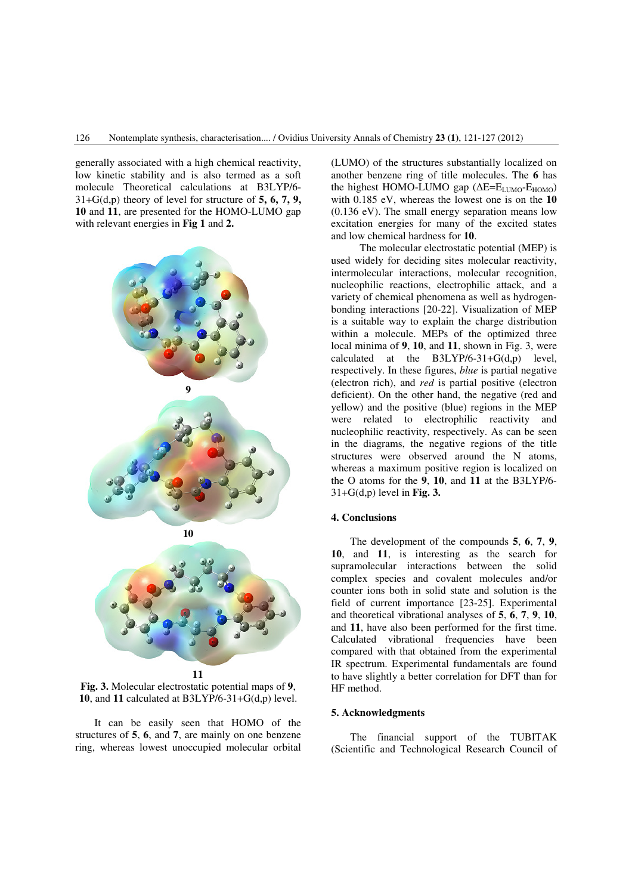generally associated with a high chemical reactivity, low kinetic stability and is also termed as a soft molecule Theoretical calculations at B3LYP/6- 31+G(d,p) theory of level for structure of **5, 6, 7, 9, 10** and **11**, are presented for the HOMO-LUMO gap with relevant energies in **Fig 1** and **2.**





**Fig. 3.** Molecular electrostatic potential maps of **9**, **10**, and **11** calculated at B3LYP/6-31+G(d,p) level.

It can be easily seen that HOMO of the structures of **5**, **6**, and **7**, are mainly on one benzene ring, whereas lowest unoccupied molecular orbital (LUMO) of the structures substantially localized on another benzene ring of title molecules. The **6** has the highest HOMO-LUMO gap ( $\Delta E=E_{LIMO}-E_{HOMO}$ ) with 0.185 eV, whereas the lowest one is on the **10**  (0.136 eV). The small energy separation means low excitation energies for many of the excited states and low chemical hardness for **10**.

The molecular electrostatic potential (MEP) is used widely for deciding sites molecular reactivity, intermolecular interactions, molecular recognition, nucleophilic reactions, electrophilic attack, and a variety of chemical phenomena as well as hydrogenbonding interactions [20-22]. Visualization of MEP is a suitable way to explain the charge distribution within a molecule. MEPs of the optimized three local minima of **9**, **10**, and **11**, shown in Fig. 3, were calculated at the B3LYP/6-31+G(d,p) level, respectively. In these figures, *blue* is partial negative (electron rich), and *red* is partial positive (electron deficient). On the other hand, the negative (red and yellow) and the positive (blue) regions in the MEP were related to electrophilic reactivity and nucleophilic reactivity, respectively. As can be seen in the diagrams, the negative regions of the title structures were observed around the N atoms, whereas a maximum positive region is localized on the O atoms for the **9**, **10**, and **11** at the B3LYP/6- 31+G(d,p) level in **Fig. 3.**

# **4. Conclusions**

The development of the compounds **5**, **6**, **7**, **9**, **10**, and **11**, is interesting as the search for supramolecular interactions between the solid complex species and covalent molecules and/or counter ions both in solid state and solution is the field of current importance [23-25]. Experimental and theoretical vibrational analyses of **5**, **6**, **7**, **9**, **10**, and **11**, have also been performed for the first time. Calculated vibrational frequencies have been compared with that obtained from the experimental IR spectrum. Experimental fundamentals are found to have slightly a better correlation for DFT than for HF method.

# **5. Acknowledgments**

The financial support of the TUBITAK (Scientific and Technological Research Council of